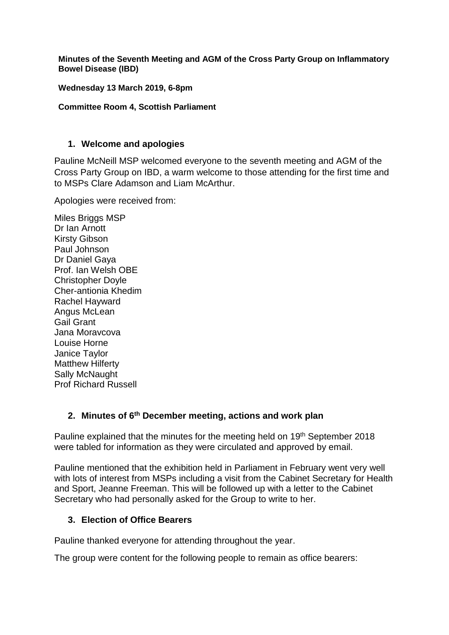**Minutes of the Seventh Meeting and AGM of the Cross Party Group on Inflammatory Bowel Disease (IBD)**

**Wednesday 13 March 2019, 6-8pm**

#### **Committee Room 4, Scottish Parliament**

#### **1. Welcome and apologies**

Pauline McNeill MSP welcomed everyone to the seventh meeting and AGM of the Cross Party Group on IBD, a warm welcome to those attending for the first time and to MSPs Clare Adamson and Liam McArthur.

Apologies were received from:

Miles Briggs MSP Dr Ian Arnott Kirsty Gibson Paul Johnson Dr Daniel Gaya Prof. Ian Welsh OBE Christopher Doyle Cher-antionia Khedim Rachel Hayward Angus McLean Gail Grant Jana Moravcova Louise Horne Janice Taylor Matthew Hilferty Sally McNaught Prof Richard Russell

#### **2. Minutes of 6 th December meeting, actions and work plan**

Pauline explained that the minutes for the meeting held on 19<sup>th</sup> September 2018 were tabled for information as they were circulated and approved by email.

Pauline mentioned that the exhibition held in Parliament in February went very well with lots of interest from MSPs including a visit from the Cabinet Secretary for Health and Sport, Jeanne Freeman. This will be followed up with a letter to the Cabinet Secretary who had personally asked for the Group to write to her.

#### **3. Election of Office Bearers**

Pauline thanked everyone for attending throughout the year.

The group were content for the following people to remain as office bearers: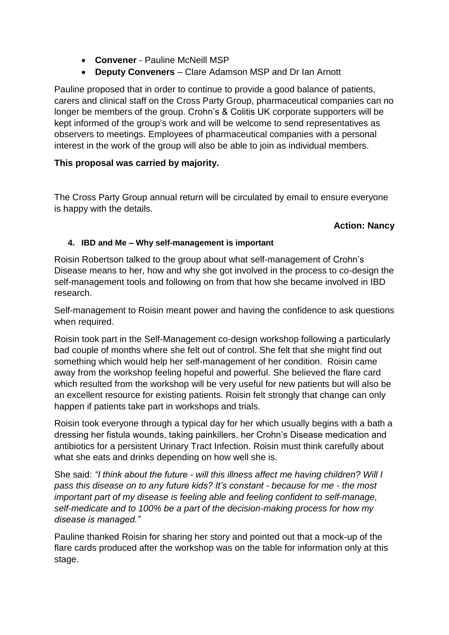- **Convener** Pauline McNeill MSP
- **Deputy Conveners**  Clare Adamson MSP and Dr Ian Arnott

Pauline proposed that in order to continue to provide a good balance of patients, carers and clinical staff on the Cross Party Group, pharmaceutical companies can no longer be members of the group. Crohn's & Colitis UK corporate supporters will be kept informed of the group's work and will be welcome to send representatives as observers to meetings. Employees of pharmaceutical companies with a personal interest in the work of the group will also be able to join as individual members.

# **This proposal was carried by majority.**

The Cross Party Group annual return will be circulated by email to ensure everyone is happy with the details.

# **Action: Nancy**

### **4. IBD and Me – Why self-management is important**

Roisin Robertson talked to the group about what self-management of Crohn's Disease means to her, how and why she got involved in the process to co-design the self-management tools and following on from that how she became involved in IBD research.

Self-management to Roisin meant power and having the confidence to ask questions when required.

Roisin took part in the Self-Management co-design workshop following a particularly bad couple of months where she felt out of control. She felt that she might find out something which would help her self-management of her condition. Roisin came away from the workshop feeling hopeful and powerful. She believed the flare card which resulted from the workshop will be very useful for new patients but will also be an excellent resource for existing patients. Roisin felt strongly that change can only happen if patients take part in workshops and trials.

Roisin took everyone through a typical day for her which usually begins with a bath a dressing her fistula wounds, taking painkillers, her Crohn's Disease medication and antibiotics for a persistent Urinary Tract Infection. Roisin must think carefully about what she eats and drinks depending on how well she is.

She said: *"I think about the future - will this illness affect me having children? Will I pass this disease on to any future kids? It's constant - because for me - the most important part of my disease is feeling able and feeling confident to self-manage, self-medicate and to 100% be a part of the decision-making process for how my disease is managed."*

Pauline thanked Roisin for sharing her story and pointed out that a mock-up of the flare cards produced after the workshop was on the table for information only at this stage.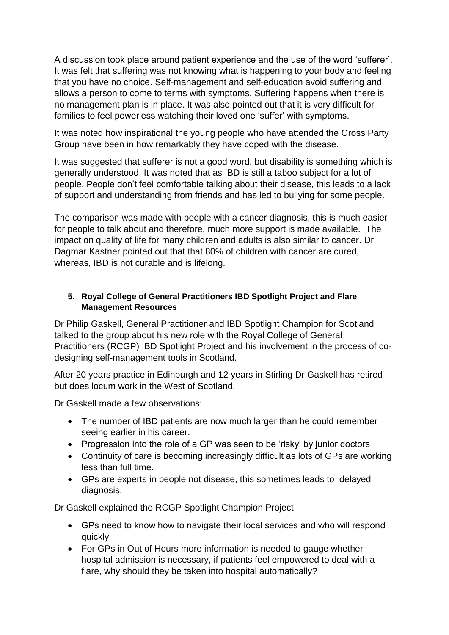A discussion took place around patient experience and the use of the word 'sufferer'. It was felt that suffering was not knowing what is happening to your body and feeling that you have no choice. Self-management and self-education avoid suffering and allows a person to come to terms with symptoms. Suffering happens when there is no management plan is in place. It was also pointed out that it is very difficult for families to feel powerless watching their loved one 'suffer' with symptoms.

It was noted how inspirational the young people who have attended the Cross Party Group have been in how remarkably they have coped with the disease.

It was suggested that sufferer is not a good word, but disability is something which is generally understood. It was noted that as IBD is still a taboo subject for a lot of people. People don't feel comfortable talking about their disease, this leads to a lack of support and understanding from friends and has led to bullying for some people.

The comparison was made with people with a cancer diagnosis, this is much easier for people to talk about and therefore, much more support is made available. The impact on quality of life for many children and adults is also similar to cancer. Dr Dagmar Kastner pointed out that that 80% of children with cancer are cured, whereas, IBD is not curable and is lifelong.

### **5. Royal College of General Practitioners IBD Spotlight Project and Flare Management Resources**

Dr Philip Gaskell, General Practitioner and IBD Spotlight Champion for Scotland talked to the group about his new role with the Royal College of General Practitioners (RCGP) IBD Spotlight Project and his involvement in the process of codesigning self-management tools in Scotland.

After 20 years practice in Edinburgh and 12 years in Stirling Dr Gaskell has retired but does locum work in the West of Scotland.

Dr Gaskell made a few observations:

- The number of IBD patients are now much larger than he could remember seeing earlier in his career.
- Progression into the role of a GP was seen to be 'risky' by junior doctors
- Continuity of care is becoming increasingly difficult as lots of GPs are working less than full time.
- GPs are experts in people not disease, this sometimes leads to delayed diagnosis.

Dr Gaskell explained the RCGP Spotlight Champion Project

- GPs need to know how to navigate their local services and who will respond quickly
- For GPs in Out of Hours more information is needed to gauge whether hospital admission is necessary, if patients feel empowered to deal with a flare, why should they be taken into hospital automatically?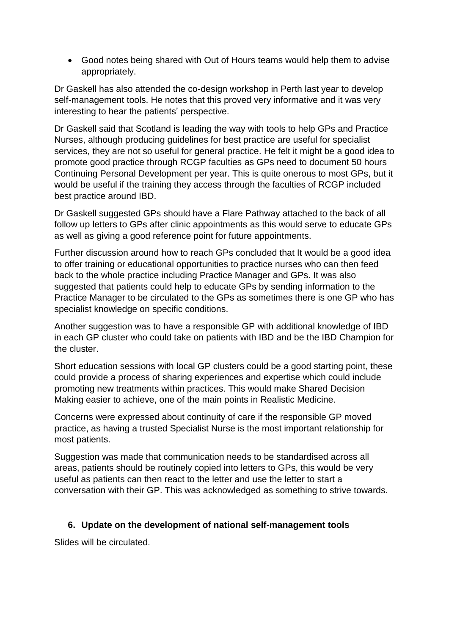• Good notes being shared with Out of Hours teams would help them to advise appropriately.

Dr Gaskell has also attended the co-design workshop in Perth last year to develop self-management tools. He notes that this proved very informative and it was very interesting to hear the patients' perspective.

Dr Gaskell said that Scotland is leading the way with tools to help GPs and Practice Nurses, although producing guidelines for best practice are useful for specialist services, they are not so useful for general practice. He felt it might be a good idea to promote good practice through RCGP faculties as GPs need to document 50 hours Continuing Personal Development per year. This is quite onerous to most GPs, but it would be useful if the training they access through the faculties of RCGP included best practice around IBD.

Dr Gaskell suggested GPs should have a Flare Pathway attached to the back of all follow up letters to GPs after clinic appointments as this would serve to educate GPs as well as giving a good reference point for future appointments.

Further discussion around how to reach GPs concluded that It would be a good idea to offer training or educational opportunities to practice nurses who can then feed back to the whole practice including Practice Manager and GPs. It was also suggested that patients could help to educate GPs by sending information to the Practice Manager to be circulated to the GPs as sometimes there is one GP who has specialist knowledge on specific conditions.

Another suggestion was to have a responsible GP with additional knowledge of IBD in each GP cluster who could take on patients with IBD and be the IBD Champion for the cluster.

Short education sessions with local GP clusters could be a good starting point, these could provide a process of sharing experiences and expertise which could include promoting new treatments within practices. This would make Shared Decision Making easier to achieve, one of the main points in Realistic Medicine.

Concerns were expressed about continuity of care if the responsible GP moved practice, as having a trusted Specialist Nurse is the most important relationship for most patients.

Suggestion was made that communication needs to be standardised across all areas, patients should be routinely copied into letters to GPs, this would be very useful as patients can then react to the letter and use the letter to start a conversation with their GP. This was acknowledged as something to strive towards.

# **6. Update on the development of national self-management tools**

Slides will be circulated.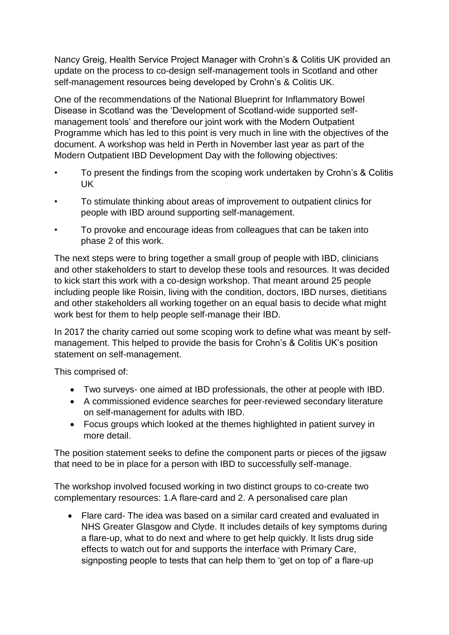Nancy Greig, Health Service Project Manager with Crohn's & Colitis UK provided an update on the process to co-design self-management tools in Scotland and other self-management resources being developed by Crohn's & Colitis UK.

One of the recommendations of the National Blueprint for Inflammatory Bowel Disease in Scotland was the 'Development of Scotland-wide supported selfmanagement tools' and therefore our joint work with the Modern Outpatient Programme which has led to this point is very much in line with the objectives of the document. A workshop was held in Perth in November last year as part of the Modern Outpatient IBD Development Day with the following objectives:

- To present the findings from the scoping work undertaken by Crohn's & Colitis UK
- To stimulate thinking about areas of improvement to outpatient clinics for people with IBD around supporting self-management.
- To provoke and encourage ideas from colleagues that can be taken into phase 2 of this work.

The next steps were to bring together a small group of people with IBD, clinicians and other stakeholders to start to develop these tools and resources. It was decided to kick start this work with a co-design workshop. That meant around 25 people including people like Roisin, living with the condition, doctors, IBD nurses, dietitians and other stakeholders all working together on an equal basis to decide what might work best for them to help people self-manage their IBD.

In 2017 the charity carried out some scoping work to define what was meant by selfmanagement. This helped to provide the basis for Crohn's & Colitis UK's position statement on self-management.

This comprised of:

- Two surveys- one aimed at IBD professionals, the other at people with IBD.
- A commissioned evidence searches for peer-reviewed secondary literature on self-management for adults with IBD.
- Focus groups which looked at the themes highlighted in patient survey in more detail.

The position statement seeks to define the component parts or pieces of the jigsaw that need to be in place for a person with IBD to successfully self-manage.

The workshop involved focused working in two distinct groups to co-create two complementary resources: 1.A flare-card and 2. A personalised care plan

• Flare card- The idea was based on a similar card created and evaluated in NHS Greater Glasgow and Clyde. It includes details of key symptoms during a flare-up, what to do next and where to get help quickly. It lists drug side effects to watch out for and supports the interface with Primary Care, signposting people to tests that can help them to 'get on top of' a flare-up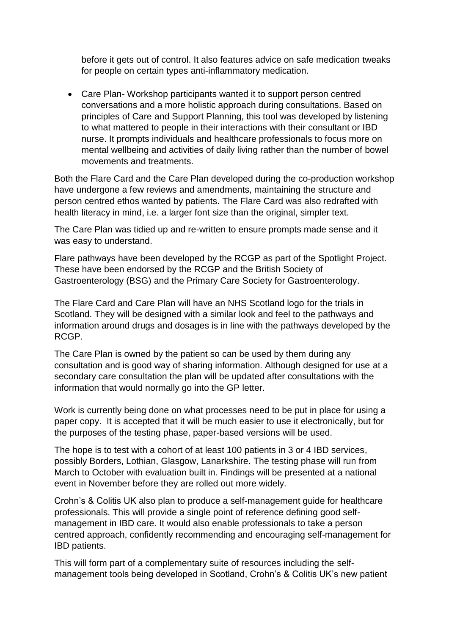before it gets out of control. It also features advice on safe medication tweaks for people on certain types anti-inflammatory medication.

• Care Plan- Workshop participants wanted it to support person centred conversations and a more holistic approach during consultations. Based on principles of Care and Support Planning, this tool was developed by listening to what mattered to people in their interactions with their consultant or IBD nurse. It prompts individuals and healthcare professionals to focus more on mental wellbeing and activities of daily living rather than the number of bowel movements and treatments.

Both the Flare Card and the Care Plan developed during the co-production workshop have undergone a few reviews and amendments, maintaining the structure and person centred ethos wanted by patients. The Flare Card was also redrafted with health literacy in mind, i.e. a larger font size than the original, simpler text.

The Care Plan was tidied up and re-written to ensure prompts made sense and it was easy to understand.

Flare pathways have been developed by the RCGP as part of the Spotlight Project. These have been endorsed by the RCGP and the British Society of Gastroenterology (BSG) and the Primary Care Society for Gastroenterology.

The Flare Card and Care Plan will have an NHS Scotland logo for the trials in Scotland. They will be designed with a similar look and feel to the pathways and information around drugs and dosages is in line with the pathways developed by the RCGP.

The Care Plan is owned by the patient so can be used by them during any consultation and is good way of sharing information. Although designed for use at a secondary care consultation the plan will be updated after consultations with the information that would normally go into the GP letter.

Work is currently being done on what processes need to be put in place for using a paper copy. It is accepted that it will be much easier to use it electronically, but for the purposes of the testing phase, paper-based versions will be used.

The hope is to test with a cohort of at least 100 patients in 3 or 4 IBD services, possibly Borders, Lothian, Glasgow, Lanarkshire. The testing phase will run from March to October with evaluation built in. Findings will be presented at a national event in November before they are rolled out more widely.

Crohn's & Colitis UK also plan to produce a self-management guide for healthcare professionals. This will provide a single point of reference defining good selfmanagement in IBD care. It would also enable professionals to take a person centred approach, confidently recommending and encouraging self-management for IBD patients.

This will form part of a complementary suite of resources including the selfmanagement tools being developed in Scotland, Crohn's & Colitis UK's new patient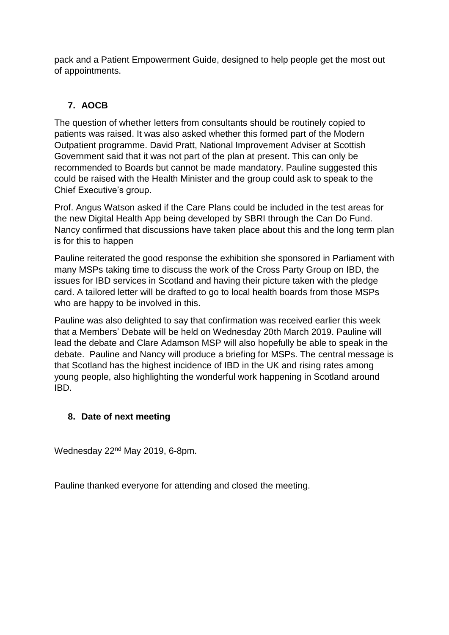pack and a Patient Empowerment Guide, designed to help people get the most out of appointments.

# **7. AOCB**

The question of whether letters from consultants should be routinely copied to patients was raised. It was also asked whether this formed part of the Modern Outpatient programme. David Pratt, National Improvement Adviser at Scottish Government said that it was not part of the plan at present. This can only be recommended to Boards but cannot be made mandatory. Pauline suggested this could be raised with the Health Minister and the group could ask to speak to the Chief Executive's group.

Prof. Angus Watson asked if the Care Plans could be included in the test areas for the new Digital Health App being developed by SBRI through the Can Do Fund. Nancy confirmed that discussions have taken place about this and the long term plan is for this to happen

Pauline reiterated the good response the exhibition she sponsored in Parliament with many MSPs taking time to discuss the work of the Cross Party Group on IBD, the issues for IBD services in Scotland and having their picture taken with the pledge card. A tailored letter will be drafted to go to local health boards from those MSPs who are happy to be involved in this.

Pauline was also delighted to say that confirmation was received earlier this week that a Members' Debate will be held on Wednesday 20th March 2019. Pauline will lead the debate and Clare Adamson MSP will also hopefully be able to speak in the debate. Pauline and Nancy will produce a briefing for MSPs. The central message is that Scotland has the highest incidence of IBD in the UK and rising rates among young people, also highlighting the wonderful work happening in Scotland around IBD.

# **8. Date of next meeting**

Wednesday 22<sup>nd</sup> May 2019, 6-8pm.

Pauline thanked everyone for attending and closed the meeting.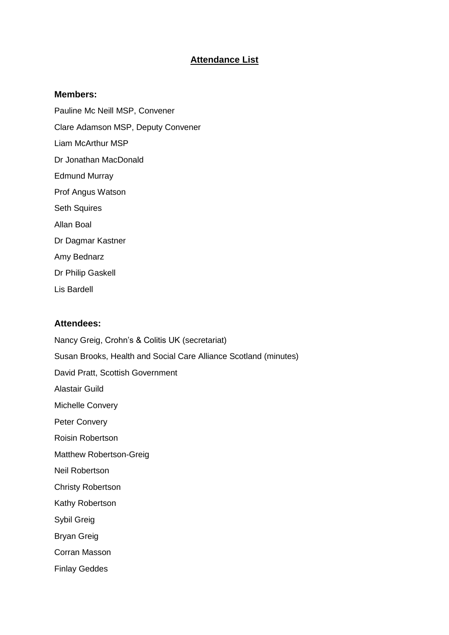### **Attendance List**

#### **Members:**

Pauline Mc Neill MSP, Convener Clare Adamson MSP, Deputy Convener Liam McArthur MSP Dr Jonathan MacDonald Edmund Murray Prof Angus Watson Seth Squires Allan Boal Dr Dagmar Kastner Amy Bednarz Dr Philip Gaskell Lis Bardell

#### **Attendees:**

Nancy Greig, Crohn's & Colitis UK (secretariat) Susan Brooks, Health and Social Care Alliance Scotland (minutes) David Pratt, Scottish Government Alastair Guild Michelle Convery Peter Convery Roisin Robertson Matthew Robertson-Greig Neil Robertson Christy Robertson Kathy Robertson Sybil Greig Bryan Greig Corran Masson Finlay Geddes